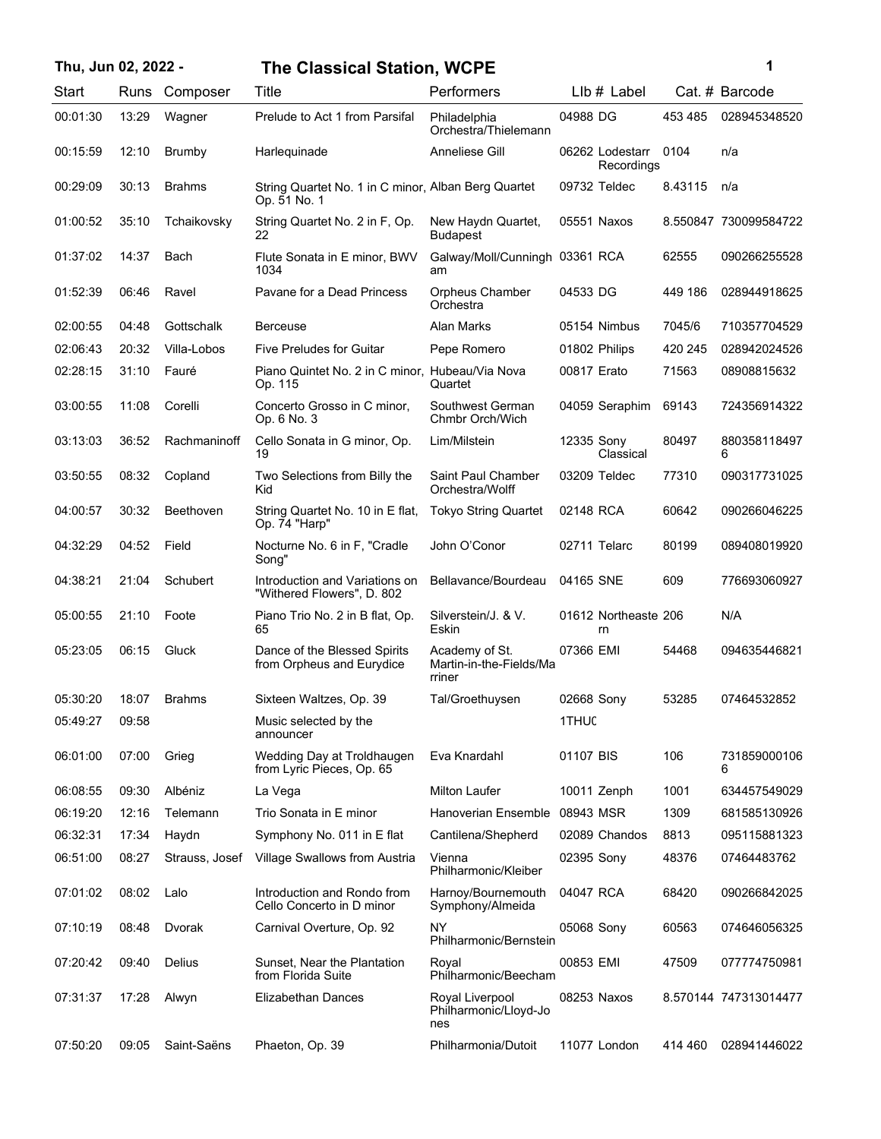| Thu, Jun 02, 2022 - |  |
|---------------------|--|
|---------------------|--|

## **Thu, Jun 02, 2022 - 1 The Classical Station, WCPE**

| ï<br>I |  |  |
|--------|--|--|
|        |  |  |
|        |  |  |

| Start    | Runs  | Composer         | Title                                                               | Performers                                          |               | Llb # Label                   |         | Cat. # Barcode        |
|----------|-------|------------------|---------------------------------------------------------------------|-----------------------------------------------------|---------------|-------------------------------|---------|-----------------------|
| 00:01:30 | 13:29 | Wagner           | Prelude to Act 1 from Parsifal                                      | Philadelphia<br>Orchestra/Thielemann                | 04988 DG      |                               | 453 485 | 028945348520          |
| 00:15:59 | 12:10 | Brumby           | Harlequinade                                                        | Anneliese Gill                                      |               | 06262 Lodestarr<br>Recordings | 0104    | n/a                   |
| 00:29:09 | 30:13 | <b>Brahms</b>    | String Quartet No. 1 in C minor, Alban Berg Quartet<br>Op. 51 No. 1 |                                                     | 09732 Teldec  |                               | 8.43115 | n/a                   |
| 01:00:52 | 35:10 | Tchaikovsky      | String Quartet No. 2 in F, Op.<br>22                                | New Haydn Quartet,<br><b>Budapest</b>               | 05551 Naxos   |                               |         | 8.550847 730099584722 |
| 01:37:02 | 14:37 | Bach             | Flute Sonata in E minor, BWV<br>1034                                | Galway/Moll/Cunningh 03361 RCA<br>am                |               |                               | 62555   | 090266255528          |
| 01:52:39 | 06:46 | Ravel            | Pavane for a Dead Princess                                          | <b>Orpheus Chamber</b><br>Orchestra                 | 04533 DG      |                               | 449 186 | 028944918625          |
| 02:00:55 | 04:48 | Gottschalk       | <b>Berceuse</b>                                                     | Alan Marks                                          |               | 05154 Nimbus                  | 7045/6  | 710357704529          |
| 02:06:43 | 20:32 | Villa-Lobos      | <b>Five Preludes for Guitar</b>                                     | Pepe Romero                                         | 01802 Philips |                               | 420 245 | 028942024526          |
| 02:28:15 | 31:10 | Fauré            | Piano Quintet No. 2 in C minor, Hubeau/Via Nova<br>Op. 115          | Quartet                                             | 00817 Erato   |                               | 71563   | 08908815632           |
| 03:00:55 | 11:08 | Corelli          | Concerto Grosso in C minor,<br>Op. 6 No. 3                          | Southwest German<br>Chmbr Orch/Wich                 |               | 04059 Seraphim                | 69143   | 724356914322          |
| 03:13:03 | 36:52 | Rachmaninoff     | Cello Sonata in G minor, Op.<br>19                                  | Lim/Milstein                                        | 12335 Sony    | Classical                     | 80497   | 880358118497<br>6     |
| 03:50:55 | 08:32 | Copland          | Two Selections from Billy the<br>Kid                                | Saint Paul Chamber<br>Orchestra/Wolff               | 03209 Teldec  |                               | 77310   | 090317731025          |
| 04:00:57 | 30:32 | <b>Beethoven</b> | String Quartet No. 10 in E flat,<br>Op. 74 "Harp"                   | <b>Tokyo String Quartet</b>                         | 02148 RCA     |                               | 60642   | 090266046225          |
| 04:32:29 | 04:52 | Field            | Nocturne No. 6 in F, "Cradle<br>Song"                               | John O'Conor                                        | 02711 Telarc  |                               | 80199   | 089408019920          |
| 04:38:21 | 21:04 | Schubert         | Introduction and Variations on<br>"Withered Flowers", D. 802        | Bellavance/Bourdeau                                 | 04165 SNE     |                               | 609     | 776693060927          |
| 05:00:55 | 21:10 | Foote            | Piano Trio No. 2 in B flat, Op.<br>65                               | Silverstein/J. & V.<br>Eskin                        |               | 01612 Northeaste 206<br>rn    |         | N/A                   |
| 05:23:05 | 06:15 | Gluck            | Dance of the Blessed Spirits<br>from Orpheus and Eurydice           | Academy of St.<br>Martin-in-the-Fields/Ma<br>rriner | 07366 EMI     |                               | 54468   | 094635446821          |
| 05:30:20 | 18:07 | <b>Brahms</b>    | Sixteen Waltzes, Op. 39                                             | Tal/Groethuysen                                     | 02668 Sony    |                               | 53285   | 07464532852           |
| 05:49:27 | 09:58 |                  | Music selected by the<br>announcer                                  |                                                     | 1THUC         |                               |         |                       |
| 06:01:00 | 07:00 | Grieg            | Wedding Day at Troldhaugen<br>from Lyric Pieces, Op. 65             | Eva Knardahl                                        | 01107 BIS     |                               | 106     | 731859000106<br>6     |
| 06:08:55 | 09:30 | Albéniz          | La Vega                                                             | <b>Milton Laufer</b>                                | 10011 Zenph   |                               | 1001    | 634457549029          |
| 06:19:20 | 12:16 | Telemann         | Trio Sonata in E minor                                              | Hanoverian Ensemble                                 | 08943 MSR     |                               | 1309    | 681585130926          |
| 06:32:31 | 17:34 | Haydn            | Symphony No. 011 in E flat                                          | Cantilena/Shepherd                                  |               | 02089 Chandos                 | 8813    | 095115881323          |
| 06:51:00 | 08:27 | Strauss, Josef   | Village Swallows from Austria                                       | Vienna<br>Philharmonic/Kleiber                      | 02395 Sony    |                               | 48376   | 07464483762           |
| 07:01:02 | 08:02 | Lalo             | Introduction and Rondo from<br>Cello Concerto in D minor            | Harnoy/Bournemouth<br>Symphony/Almeida              | 04047 RCA     |                               | 68420   | 090266842025          |
| 07:10:19 | 08:48 | Dvorak           | Carnival Overture, Op. 92                                           | <b>NY</b><br>Philharmonic/Bernstein                 | 05068 Sony    |                               | 60563   | 074646056325          |
| 07:20:42 | 09:40 | Delius           | Sunset, Near the Plantation<br>from Florida Suite                   | Royal<br>Philharmonic/Beecham                       | 00853 EMI     |                               | 47509   | 077774750981          |
| 07:31:37 | 17:28 | Alwyn            | Elizabethan Dances                                                  | Royal Liverpool<br>Philharmonic/Lloyd-Jo<br>nes     | 08253 Naxos   |                               |         | 8.570144 747313014477 |
| 07:50:20 | 09:05 | Saint-Saëns      | Phaeton, Op. 39                                                     | Philharmonia/Dutoit                                 |               | 11077 London                  | 414 460 | 028941446022          |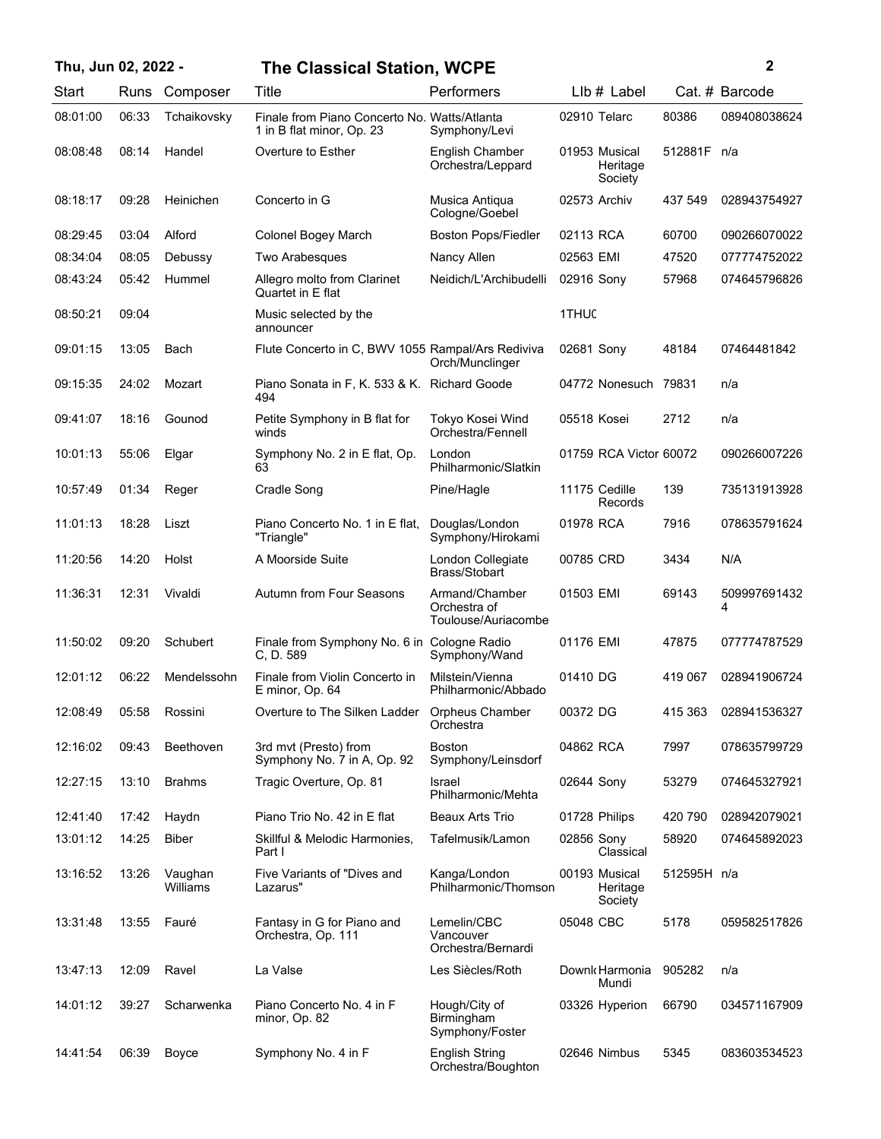| Thu, Jun 02, 2022 - |       |                     | <b>The Classical Station, WCPE</b>                                        |                                                       |                                      |             | 2                 |
|---------------------|-------|---------------------|---------------------------------------------------------------------------|-------------------------------------------------------|--------------------------------------|-------------|-------------------|
| Start               | Runs  | Composer            | Title                                                                     | Performers                                            | LIb # Label                          |             | Cat. # Barcode    |
| 08:01:00            | 06:33 | Tchaikovsky         | Finale from Piano Concerto No. Watts/Atlanta<br>1 in B flat minor, Op. 23 | Symphony/Levi                                         | 02910 Telarc                         | 80386       | 089408038624      |
| 08:08:48            | 08:14 | Handel              | Overture to Esther                                                        | <b>English Chamber</b><br>Orchestra/Leppard           | 01953 Musical<br>Heritage<br>Society | 512881F n/a |                   |
| 08:18:17            | 09:28 | Heinichen           | Concerto in G                                                             | Musica Antiqua<br>Cologne/Goebel                      | 02573 Archiv                         | 437 549     | 028943754927      |
| 08:29:45            | 03:04 | Alford              | <b>Colonel Bogey March</b>                                                | <b>Boston Pops/Fiedler</b>                            | 02113 RCA                            | 60700       | 090266070022      |
| 08:34:04            | 08:05 | Debussy             | Two Arabesques                                                            | Nancy Allen                                           | 02563 EMI                            | 47520       | 077774752022      |
| 08:43:24            | 05:42 | Hummel              | Allegro molto from Clarinet<br>Quartet in E flat                          | Neidich/L'Archibudelli                                | 02916 Sony                           | 57968       | 074645796826      |
| 08:50:21            | 09:04 |                     | Music selected by the<br>announcer                                        |                                                       | 1THUC                                |             |                   |
| 09:01:15            | 13:05 | Bach                | Flute Concerto in C, BWV 1055 Rampal/Ars Rediviva                         | Orch/Munclinger                                       | 02681 Sony                           | 48184       | 07464481842       |
| 09:15:35            | 24:02 | Mozart              | Piano Sonata in F, K. 533 & K. Richard Goode<br>494                       |                                                       | 04772 Nonesuch 79831                 |             | n/a               |
| 09:41:07            | 18:16 | Gounod              | Petite Symphony in B flat for<br>winds                                    | Tokyo Kosei Wind<br>Orchestra/Fennell                 | 05518 Kosei                          | 2712        | n/a               |
| 10:01:13            | 55:06 | Elgar               | Symphony No. 2 in E flat, Op.<br>63                                       | London<br>Philharmonic/Slatkin                        | 01759 RCA Victor 60072               |             | 090266007226      |
| 10:57:49            | 01:34 | Reger               | Cradle Song                                                               | Pine/Hagle                                            | 11175 Cedille<br>Records             | 139         | 735131913928      |
| 11:01:13            | 18:28 | Liszt               | Piano Concerto No. 1 in E flat.<br>"Triangle"                             | Douglas/London<br>Symphony/Hirokami                   | 01978 RCA                            | 7916        | 078635791624      |
| 11:20:56            | 14:20 | Holst               | A Moorside Suite                                                          | London Collegiate<br>Brass/Stobart                    | 00785 CRD                            | 3434        | N/A               |
| 11:36:31            | 12:31 | Vivaldi             | Autumn from Four Seasons                                                  | Armand/Chamber<br>Orchestra of<br>Toulouse/Auriacombe | 01503 EMI                            | 69143       | 509997691432<br>4 |
| 11:50:02            | 09:20 | Schubert            | Finale from Symphony No. 6 in Cologne Radio<br>C, D. 589                  | Symphony/Wand                                         | 01176 EMI                            | 47875       | 077774787529      |
| 12:01:12            | 06:22 | Mendelssohn         | Finale from Violin Concerto in<br>E minor, Op. 64                         | Milstein/Vienna<br>Philharmonic/Abbado                | 01410 DG                             | 419 067     | 028941906724      |
| 12:08:49            | 05:58 | Rossini             | Overture to The Silken Ladder                                             | Orpheus Chamber<br>Orchestra                          | 00372 DG                             | 415 363     | 028941536327      |
| 12:16:02            | 09:43 | Beethoven           | 3rd mvt (Presto) from<br>Symphony No. 7 in A, Op. 92                      | <b>Boston</b><br>Symphony/Leinsdorf                   | 04862 RCA                            | 7997        | 078635799729      |
| 12:27:15            | 13:10 | <b>Brahms</b>       | Tragic Overture, Op. 81                                                   | Israel<br>Philharmonic/Mehta                          | 02644 Sony                           | 53279       | 074645327921      |
| 12:41:40            | 17:42 | Haydn               | Piano Trio No. 42 in E flat                                               | <b>Beaux Arts Trio</b>                                | 01728 Philips                        | 420 790     | 028942079021      |
| 13:01:12            | 14:25 | <b>Biber</b>        | Skillful & Melodic Harmonies,<br>Part I                                   | Tafelmusik/Lamon                                      | 02856 Sony<br>Classical              | 58920       | 074645892023      |
| 13:16:52            | 13:26 | Vaughan<br>Williams | Five Variants of "Dives and<br>Lazarus"                                   | Kanga/London<br>Philharmonic/Thomson                  | 00193 Musical<br>Heritage<br>Society | 512595H n/a |                   |
| 13:31:48            | 13:55 | Fauré               | Fantasy in G for Piano and<br>Orchestra, Op. 111                          | Lemelin/CBC<br>Vancouver<br>Orchestra/Bernardi        | 05048 CBC                            | 5178        | 059582517826      |
| 13:47:13            | 12:09 | Ravel               | La Valse                                                                  | Les Siècles/Roth                                      | Downk Harmonia<br>Mundi              | 905282      | n/a               |
| 14:01:12            | 39:27 | Scharwenka          | Piano Concerto No. 4 in F<br>minor, Op. 82                                | Hough/City of<br><b>Birmingham</b><br>Symphony/Foster | 03326 Hyperion                       | 66790       | 034571167909      |
| 14:41:54            | 06:39 | Boyce               | Symphony No. 4 in F                                                       | <b>English String</b><br>Orchestra/Boughton           | 02646 Nimbus                         | 5345        | 083603534523      |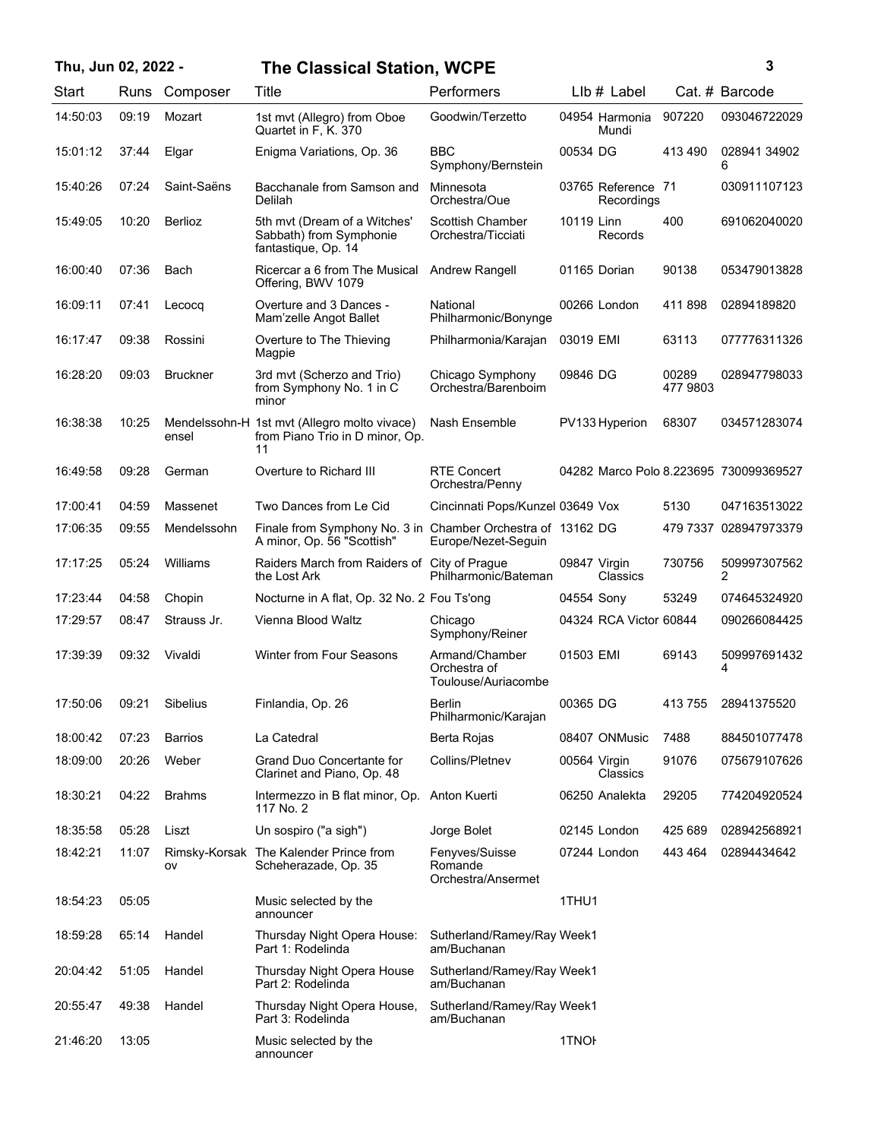## **Thu, Jun 02, 2022 - 3 The Classical Station, WCPE**

| ٦ |   |
|---|---|
|   |   |
|   |   |
|   | I |

| Start    | Runs  | Composer        | Title                                                                                     | Performers                                            |                   | Llb # Label                      |                   | Cat. # Barcode                         |
|----------|-------|-----------------|-------------------------------------------------------------------------------------------|-------------------------------------------------------|-------------------|----------------------------------|-------------------|----------------------------------------|
| 14:50:03 | 09:19 | Mozart          | 1st mvt (Allegro) from Oboe<br>Quartet in F, K. 370                                       | Goodwin/Terzetto                                      |                   | 04954 Harmonia<br>Mundi          | 907220            | 093046722029                           |
| 15:01:12 | 37:44 | Elgar           | Enigma Variations, Op. 36                                                                 | BBC<br>Symphony/Bernstein                             | 00534 DG          |                                  | 413490            | 028941 34902<br>6                      |
| 15:40:26 | 07:24 | Saint-Saëns     | Bacchanale from Samson and<br>Delilah                                                     | Minnesota<br>Orchestra/Oue                            |                   | 03765 Reference 71<br>Recordings |                   | 030911107123                           |
| 15:49:05 | 10:20 | <b>Berlioz</b>  | 5th mvt (Dream of a Witches'<br>Sabbath) from Symphonie<br>fantastique, Op. 14            | <b>Scottish Chamber</b><br>Orchestra/Ticciati         | 10119 Linn        | Records                          | 400               | 691062040020                           |
| 16:00:40 | 07:36 | Bach            | Ricercar a 6 from The Musical<br>Offering, BWV 1079                                       | Andrew Rangell                                        |                   | 01165 Dorian                     | 90138             | 053479013828                           |
| 16:09:11 | 07:41 | Lecocq          | Overture and 3 Dances -<br>Mam'zelle Angot Ballet                                         | National<br>Philharmonic/Bonynge                      |                   | 00266 London                     | 411898            | 02894189820                            |
| 16:17:47 | 09:38 | Rossini         | Overture to The Thieving<br>Magpie                                                        | Philharmonia/Karajan                                  | 03019 EMI         |                                  | 63113             | 077776311326                           |
| 16:28:20 | 09:03 | <b>Bruckner</b> | 3rd mvt (Scherzo and Trio)<br>from Symphony No. 1 in C<br>minor                           | Chicago Symphony<br>Orchestra/Barenboim               | 09846 DG          |                                  | 00289<br>477 9803 | 028947798033                           |
| 16:38:38 | 10:25 | ensel           | Mendelssohn-H 1st mvt (Allegro molto vivace)<br>from Piano Trio in D minor, Op.<br>11     | Nash Ensemble                                         |                   | PV133 Hyperion                   | 68307             | 034571283074                           |
| 16:49:58 | 09:28 | German          | Overture to Richard III                                                                   | <b>RTE Concert</b><br>Orchestra/Penny                 |                   |                                  |                   | 04282 Marco Polo 8.223695 730099369527 |
| 17:00:41 | 04:59 | Massenet        | Two Dances from Le Cid                                                                    | Cincinnati Pops/Kunzel 03649 Vox                      |                   |                                  | 5130              | 047163513022                           |
| 17:06:35 | 09:55 | Mendelssohn     | Finale from Symphony No. 3 in Chamber Orchestra of 13162 DG<br>A minor, Op. 56 "Scottish" | Europe/Nezet-Seguin                                   |                   |                                  |                   | 479 7337 028947973379                  |
| 17:17:25 | 05:24 | Williams        | Raiders March from Raiders of City of Prague<br>the Lost Ark                              | Philharmonic/Bateman                                  | 09847 Virgin      | Classics                         | 730756            | 509997307562<br>2                      |
| 17:23:44 | 04:58 | Chopin          | Nocturne in A flat, Op. 32 No. 2 Fou Ts'ong                                               |                                                       | 04554 Sony        |                                  | 53249             | 074645324920                           |
| 17:29:57 | 08:47 | Strauss Jr.     | Vienna Blood Waltz                                                                        | Chicago<br>Symphony/Reiner                            |                   | 04324 RCA Victor 60844           |                   | 090266084425                           |
| 17:39:39 | 09:32 | Vivaldi         | <b>Winter from Four Seasons</b>                                                           | Armand/Chamber<br>Orchestra of<br>Toulouse/Auriacombe | 01503 EMI         |                                  | 69143             | 509997691432<br>4                      |
| 17:50:06 | 09:21 | Sibelius        | Finlandia, Op. 26                                                                         | Berlin<br>Philharmonic/Karajan                        | 00365 DG          |                                  | 413755            | 28941375520                            |
| 18:00:42 | 07:23 | <b>Barrios</b>  | La Catedral                                                                               | Berta Rojas                                           |                   | 08407 ONMusic                    | 7488              | 884501077478                           |
| 18:09:00 | 20:26 | Weber           | <b>Grand Duo Concertante for</b><br>Clarinet and Piano, Op. 48                            | Collins/Pletnev                                       | 00564 Virgin      | Classics                         | 91076             | 075679107626                           |
| 18:30:21 | 04:22 | <b>Brahms</b>   | Intermezzo in B flat minor, Op. Anton Kuerti<br>117 No. 2                                 |                                                       |                   | 06250 Analekta                   | 29205             | 774204920524                           |
| 18:35:58 | 05:28 | Liszt           | Un sospiro ("a sigh")                                                                     | Jorge Bolet                                           |                   | 02145 London                     | 425 689           | 028942568921                           |
| 18:42:21 | 11:07 | ov              | Rimsky-Korsak The Kalender Prince from<br>Scheherazade, Op. 35                            | Fenyves/Suisse<br>Romande<br>Orchestra/Ansermet       |                   | 07244 London                     | 443 464           | 02894434642                            |
| 18:54:23 | 05:05 |                 | Music selected by the<br>announcer                                                        |                                                       | 1THU1             |                                  |                   |                                        |
| 18:59:28 | 65:14 | Handel          | Thursday Night Opera House:<br>Part 1: Rodelinda                                          | Sutherland/Ramey/Ray Week1<br>am/Buchanan             |                   |                                  |                   |                                        |
| 20:04:42 | 51:05 | Handel          | Thursday Night Opera House<br>Part 2: Rodelinda                                           | Sutherland/Ramey/Ray Week1<br>am/Buchanan             |                   |                                  |                   |                                        |
| 20:55:47 | 49:38 | Handel          | Thursday Night Opera House,<br>Part 3: Rodelinda                                          | Sutherland/Ramey/Ray Week1<br>am/Buchanan             |                   |                                  |                   |                                        |
| 21:46:20 | 13:05 |                 | Music selected by the<br>announcer                                                        |                                                       | 1TNO <sub>F</sub> |                                  |                   |                                        |